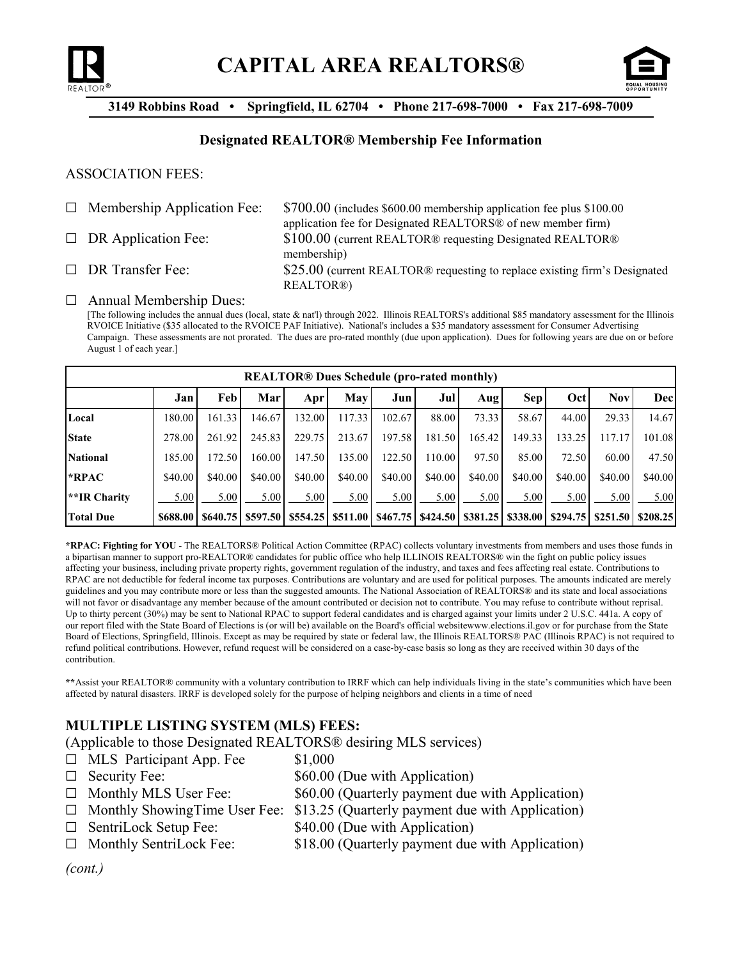



**3149 Robbins Road • Springfield, IL 62704 • Phone 217-698-7000 • Fax 217-698-7009**

### **Designated REALTOR® Membership Fee Information**

#### ASSOCIATION FEES:

| $\Box$ Membership Application Fee: | $$700.00$ (includes \$600.00 membership application fee plus \$100.00      |
|------------------------------------|----------------------------------------------------------------------------|
|                                    | application fee for Designated REALTORS® of new member firm)               |
| $\Box$ DR Application Fee:         | \$100.00 (current REALTOR® requesting Designated REALTOR®                  |
|                                    | membership)                                                                |
| $\Box$ DR Transfer Fee:            | \$25.00 (current REALTOR® requesting to replace existing firm's Designated |
|                                    | REALTOR®)                                                                  |
|                                    |                                                                            |

#### $\Box$  Annual Membership Dues:

[The following includes the annual dues (local, state & nat'l) through 2022. Illinois REALTORS's additional \$85 mandatory assessment for the Illinois RVOICE Initiative (\$35 allocated to the RVOICE PAF Initiative). National's includes a \$35 mandatory assessment for Consumer Advertising Campaign. These assessments are not prorated. The dues are pro-rated monthly (due upon application). Dues for following years are due on or before August 1 of each year.]

| <b>REALTOR®</b> Dues Schedule (pro-rated monthly) |          |          |          |         |            |         |         |         |         |                                                                            |            |          |
|---------------------------------------------------|----------|----------|----------|---------|------------|---------|---------|---------|---------|----------------------------------------------------------------------------|------------|----------|
|                                                   | Jan l    | Feb      | Mar      | Apr     | <b>May</b> | Jun     | Jul     | Aug     | Sep     | Oct                                                                        | <b>Nov</b> | Decl     |
| Local                                             | 180.00   | 161.33   | 146.67   | 132.00  | 117.33     | 102.67  | 88.00   | 73.33   | 58.67   | 44.00                                                                      | 29.33      | 14.67    |
| <b>State</b>                                      | 278.00   | 261.92   | 245.83   | 229.75  | 213.67     | 197.58  | 181.50  | 165.42  | 149.33  | 133.25                                                                     | 117.17     | 101.08   |
| <b>National</b>                                   | 185.00   | 172.50   | 160.00   | 147.50  | 135.00     | 122.50  | 110.00  | 97.50   | 85.00   | 72.50                                                                      | 60.00      | 47.50    |
| *RPAC                                             | \$40.00  | \$40.00  | \$40.00  | \$40.00 | \$40.00    | \$40.00 | \$40.00 | \$40.00 | \$40.00 | \$40.00                                                                    | \$40.00    | \$40.00  |
| <b>**IR Charity</b>                               | 5.00     | 5.00     | 5.00     | 5.00    | 5.00       | 5.00    | 5.00    | 5.00    | 5.00    | 5.00                                                                       | 5.00       | 5.00     |
| <b>Total Due</b>                                  | \$688.00 | \$640.75 | \$597.50 |         |            |         |         |         |         | \$554.25   \$511.00   \$467.75   \$424.50   \$381.25   \$338.00   \$294.75 | \$251.50   | \$208.25 |

**\*RPAC: Fighting for YOU** - The REALTORS® Political Action Committee (RPAC) collects voluntary investments from members and uses those funds in a bipartisan manner to support pro-REALTOR® candidates for public office who help ILLINOIS REALTORS® win the fight on public policy issues affecting your business, including private property rights, government regulation of the industry, and taxes and fees affecting real estate. Contributions to RPAC are not deductible for federal income tax purposes. Contributions are voluntary and are used for political purposes. The amounts indicated are merely guidelines and you may contribute more or less than the suggested amounts. The National Association of REALTORS® and its state and local associations will not favor or disadvantage any member because of the amount contributed or decision not to contribute. You may refuse to contribute without reprisal. Up to thirty percent (30%) may be sent to National RPAC to support federal candidates and is charged against your limits under 2 U.S.C. 441a. A copy of our report filed with the State Board of Elections is (or will be) available on the Board's official websitewww.elections.il.gov or for purchase from the State Board of Elections, Springfield, Illinois. Except as may be required by state or federal law, the Illinois REALTORS® PAC (Illinois RPAC) is not required to refund political contributions. However, refund request will be considered on a case-by-case basis so long as they are received within 30 days of the contribution.

**\*\***Assist your REALTOR® community with a voluntary contribution to IRRF which can help individuals living in the state's communities which have been affected by natural disasters. IRRF is developed solely for the purpose of helping neighbors and clients in a time of need

### **MULTIPLE LISTING SYSTEM (MLS) FEES:**

(Applicable to those Designated REALTORS® desiring MLS services)

- $\Box$  MLS Participant App. Fee  $$1,000$
- 
- $\Box$  Security Fee:  $$60.00$  (Due with Application)
- $\Box$  Monthly MLS User Fee:  $$60.00$  (Quarterly payment due with Application)
- $\Box$  Monthly ShowingTime User Fee: \$13.25 (Quarterly payment due with Application)
- $\Box$  SentriLock Setup Fee:  $$40.00$  (Due with Application)
- $\Box$  Monthly SentriLock Fee:  $$18.00$  (Quarterly payment due with Application)

*(cont.)*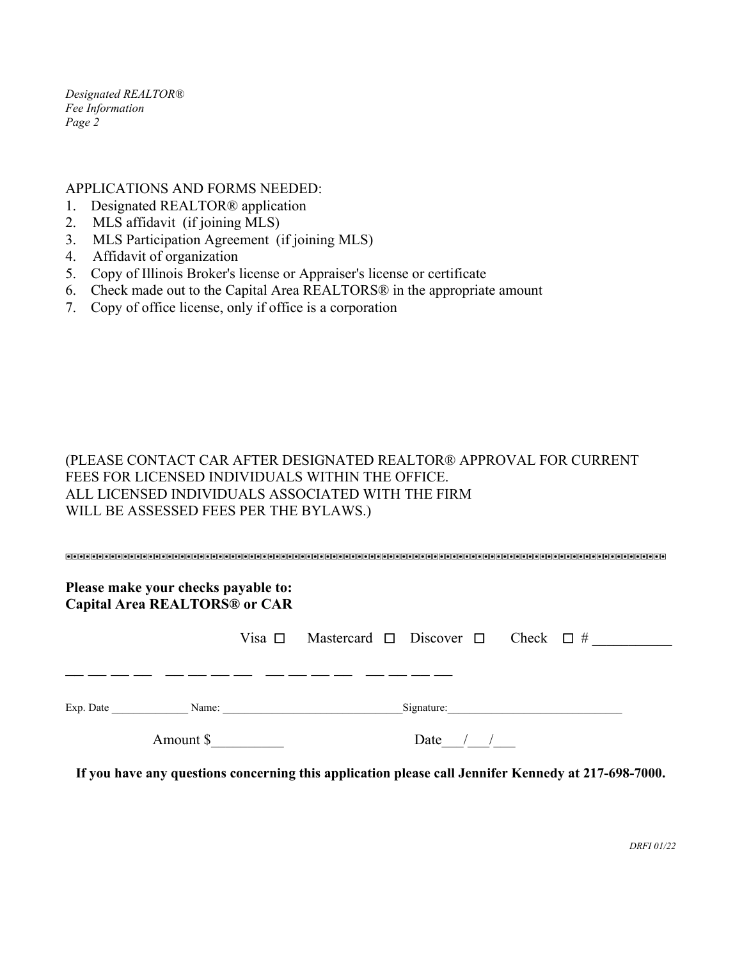*Designated REALTOR® Fee Information Page 2*

APPLICATIONS AND FORMS NEEDED:

- 1. Designated REALTOR® application
- 2. MLS affidavit (if joining MLS)
- 3. MLS Participation Agreement (if joining MLS)
- 4. Affidavit of organization
- 5. Copy of Illinois Broker's license or Appraiser's license or certificate
- 6. Check made out to the Capital Area REALTORS® in the appropriate amount
- 7. Copy of office license, only if office is a corporation

## (PLEASE CONTACT CAR AFTER DESIGNATED REALTOR® APPROVAL FOR CURRENT FEES FOR LICENSED INDIVIDUALS WITHIN THE OFFICE. ALL LICENSED INDIVIDUALS ASSOCIATED WITH THE FIRM WILL BE ASSESSED FEES PER THE BYLAWS.)

| Please make your checks payable to:<br><b>Capital Area REALTORS® or CAR</b> |                                                                 |  |
|-----------------------------------------------------------------------------|-----------------------------------------------------------------|--|
|                                                                             | Mastercard $\Box$ Discover $\Box$ Check $\Box$ #<br>Visa $\Box$ |  |
| Exp. Date<br>Amount \$                                                      | Name:<br>Signature:<br>Date                                     |  |

**If you have any questions concerning this application please call Jennifer Kennedy at 217-698-7000.**

*DRFI 01/22*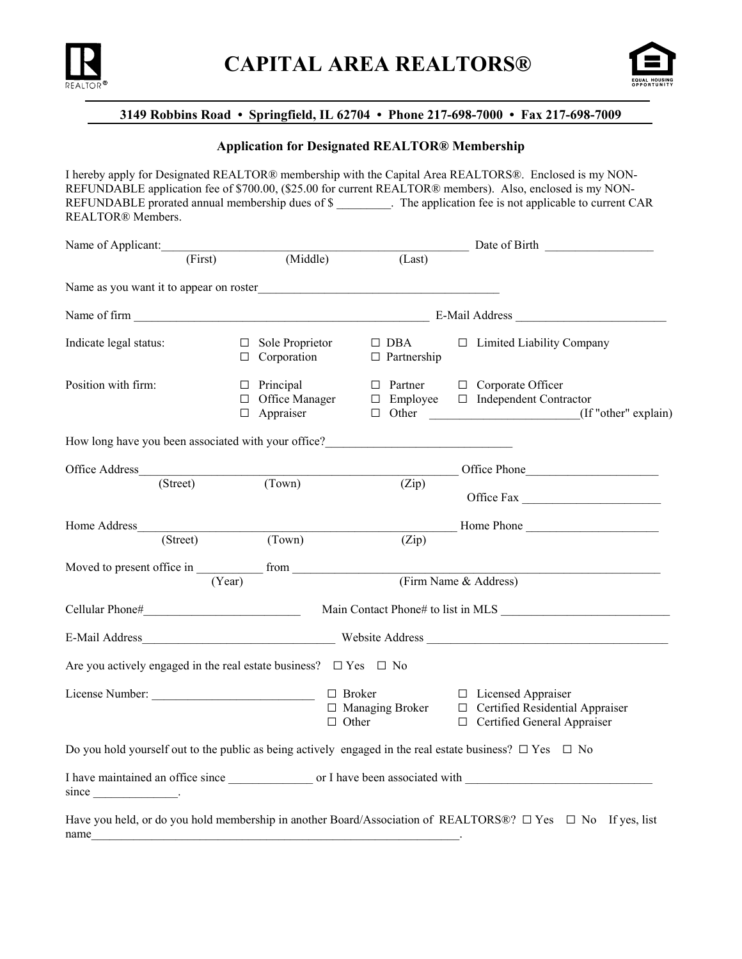



#### **3149 Robbins Road • Springfield, IL 62704 • Phone 217-698-7000 • Fax 217-698-7009**

#### **Application for Designated REALTOR® Membership**

I hereby apply for Designated REALTOR® membership with the Capital Area REALTORS®. Enclosed is my NON-REFUNDABLE application fee of \$700.00, (\$25.00 for current REALTOR® members). Also, enclosed is my NON-REFUNDABLE prorated annual membership dues of \$ REALTOR® Members.

| Name of Applicant:                                                                                                 |                                                               |                                   | Date of Birth                                                                                                         |
|--------------------------------------------------------------------------------------------------------------------|---------------------------------------------------------------|-----------------------------------|-----------------------------------------------------------------------------------------------------------------------|
| (First)                                                                                                            | (Middle)                                                      | (Last)                            |                                                                                                                       |
|                                                                                                                    |                                                               |                                   |                                                                                                                       |
|                                                                                                                    |                                                               |                                   |                                                                                                                       |
| Indicate legal status:                                                                                             | $\Box$ Sole Proprietor<br>$\Box$ Corporation                  | $\Box$ DBA<br>$\Box$ Partnership  | $\Box$ Limited Liability Company                                                                                      |
| Position with firm:                                                                                                | $\Box$ Principal<br>$\Box$ Office Manager<br>$\Box$ Appraiser | $\Box$ Partner<br>$\Box$ Employee | □ Corporate Officer<br>□ Independent Contractor<br>$\Box$ Other<br>(If "other" explain)                               |
| How long have you been associated with your office?                                                                |                                                               |                                   |                                                                                                                       |
| Office Address                                                                                                     |                                                               |                                   | Office Phone                                                                                                          |
| (Street)                                                                                                           | (Town)                                                        | $\overline{Zip}$                  |                                                                                                                       |
| Home Address<br>(Street)                                                                                           |                                                               |                                   | Home Phone                                                                                                            |
|                                                                                                                    | $\overline{\text{(Town)}}$                                    | $\overline{Zip}$                  |                                                                                                                       |
| Moved to present office in $\frac{1}{(Year)}$ from                                                                 |                                                               |                                   | (Firm Name & Address)                                                                                                 |
|                                                                                                                    |                                                               |                                   | Main Contact Phone# to list in MLS                                                                                    |
|                                                                                                                    |                                                               |                                   |                                                                                                                       |
| Are you actively engaged in the real estate business? $\Box$ Yes $\Box$ No                                         |                                                               |                                   |                                                                                                                       |
| License Number:                                                                                                    | $\Box$ Broker<br>$\Box$ Other                                 | $\Box$ Managing Broker            | □ Licensed Appraiser<br>□ Certified Residential Appraiser<br>$\Box$ Certified General Appraiser                       |
| Do you hold yourself out to the public as being actively engaged in the real estate business? $\Box$ Yes $\Box$ No |                                                               |                                   |                                                                                                                       |
| $since \_\_\_$ .                                                                                                   |                                                               |                                   |                                                                                                                       |
| name                                                                                                               |                                                               |                                   | Have you held, or do you hold membership in another Board/Association of REALTORS®? $\Box$ Yes $\Box$ No If yes, list |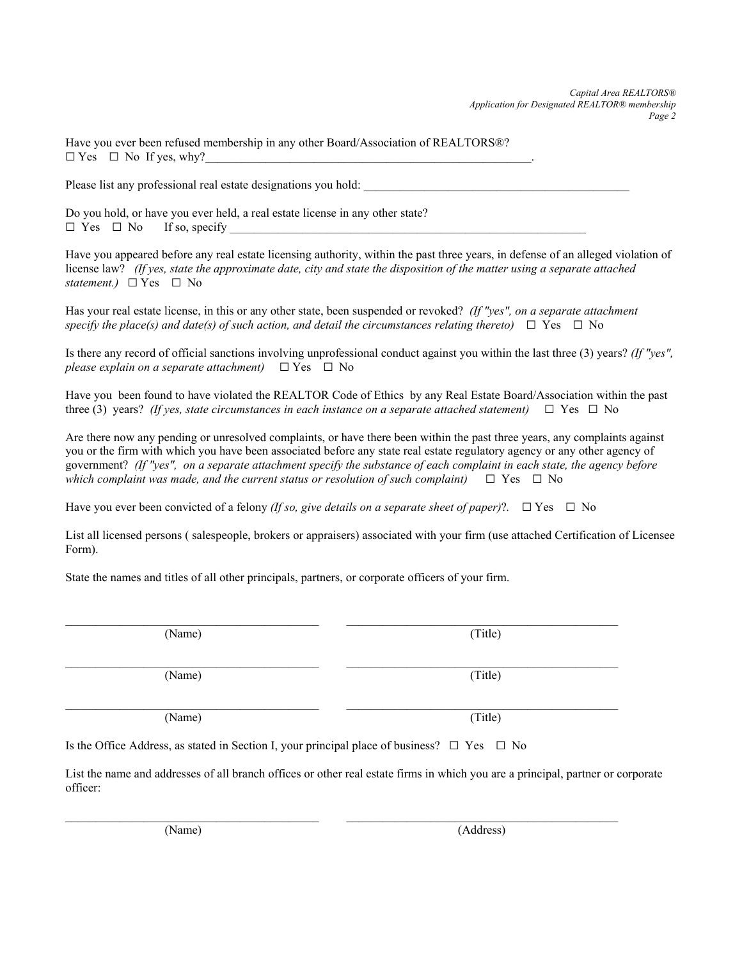Have you ever been refused membership in any other Board/Association of REALTORS®?  $\Box$  Yes  $\Box$  No If yes, why?

Please list any professional real estate designations you hold: \_\_\_\_\_\_\_\_\_\_\_\_\_\_\_\_\_

Do you hold, or have you ever held, a real estate license in any other state?  $\Box$  Yes  $\Box$  No If so, specify

Have you appeared before any real estate licensing authority, within the past three years, in defense of an alleged violation of license law? *(If yes, state the approximate date, city and state the disposition of the matter using a separate attached statement.*)  $\Box$  Yes  $\Box$  No

Has your real estate license, in this or any other state, been suspended or revoked? *(If "yes", on a separate attachment*  specify the place(s) and date(s) of such action, and detail the circumstances relating thereto)  $\Box$  Yes  $\Box$  No

Is there any record of official sanctions involving unprofessional conduct against you within the last three (3) years? *(If "yes", please explain on a separate attachment*)  $\Box$  Yes  $\Box$  No

Have you been found to have violated the REALTOR Code of Ethics by any Real Estate Board/Association within the past three (3) years? *(If yes, state circumstances in each instance on a separate attached statement*)  $\Box$  Yes  $\Box$  No

Are there now any pending or unresolved complaints, or have there been within the past three years, any complaints against you or the firm with which you have been associated before any state real estate regulatory agency or any other agency of government? *(If "yes", on a separate attachment specify the substance of each complaint in each state, the agency before which complaint was made, and the current status or resolution of such complaint*)  $\Box$  Yes  $\Box$  No

Have you ever been convicted of a felony *(If so, give details on a separate sheet of paper)*?.  $\Box$  Yes  $\Box$  No

List all licensed persons ( salespeople, brokers or appraisers) associated with your firm (use attached Certification of Licensee Form).

State the names and titles of all other principals, partners, or corporate officers of your firm.

| (Name)                                                                                                | (Title) |
|-------------------------------------------------------------------------------------------------------|---------|
| (Name)                                                                                                | (Title) |
| (Name)                                                                                                | (Title) |
| Is the Office Address, as stated in Section I, your principal place of business? $\Box$ Yes $\Box$ No |         |

List the name and addresses of all branch offices or other real estate firms in which you are a principal, partner or corporate officer:

(Name) (Address)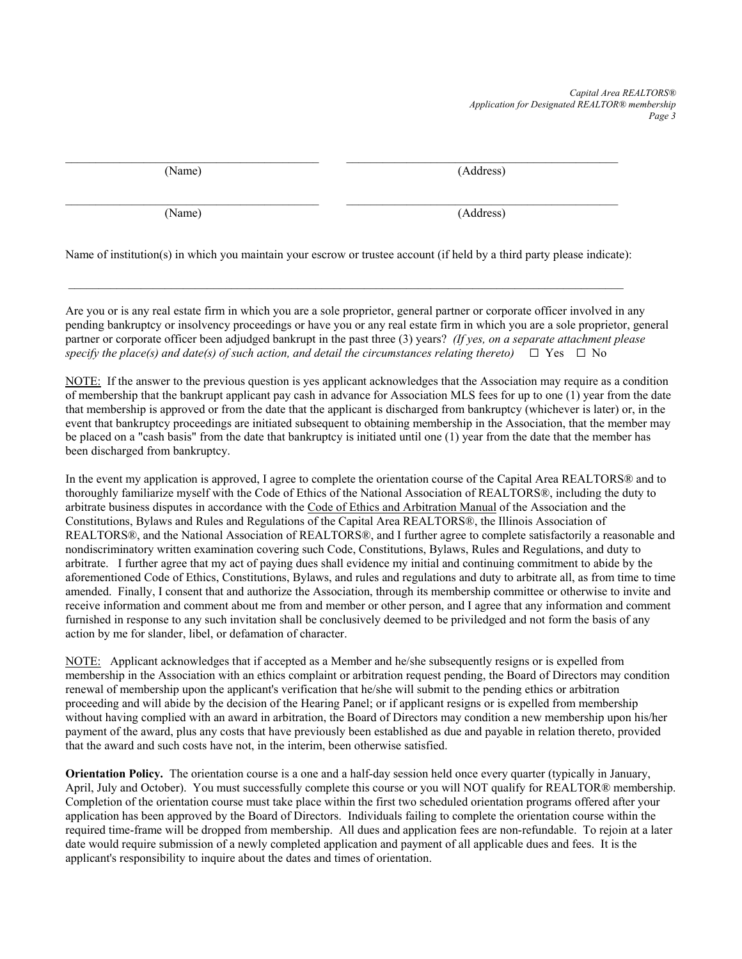*Capital Area REALTORS® Application for Designated REALTOR® membership Page 3*

 $\mathcal{L}_\mathcal{L} = \{ \mathcal{L}_\mathcal{L} = \{ \mathcal{L}_\mathcal{L} = \{ \mathcal{L}_\mathcal{L} = \{ \mathcal{L}_\mathcal{L} = \{ \mathcal{L}_\mathcal{L} = \{ \mathcal{L}_\mathcal{L} = \{ \mathcal{L}_\mathcal{L} = \{ \mathcal{L}_\mathcal{L} = \{ \mathcal{L}_\mathcal{L} = \{ \mathcal{L}_\mathcal{L} = \{ \mathcal{L}_\mathcal{L} = \{ \mathcal{L}_\mathcal{L} = \{ \mathcal{L}_\mathcal{L} = \{ \mathcal{L}_\mathcal{$ 

(Name) (Address)

(Name) (Address)

Name of institution(s) in which you maintain your escrow or trustee account (if held by a third party please indicate):

 $\mathcal{L}_\mathcal{L} = \{ \mathcal{L}_\mathcal{L} = \{ \mathcal{L}_\mathcal{L} = \{ \mathcal{L}_\mathcal{L} = \{ \mathcal{L}_\mathcal{L} = \{ \mathcal{L}_\mathcal{L} = \{ \mathcal{L}_\mathcal{L} = \{ \mathcal{L}_\mathcal{L} = \{ \mathcal{L}_\mathcal{L} = \{ \mathcal{L}_\mathcal{L} = \{ \mathcal{L}_\mathcal{L} = \{ \mathcal{L}_\mathcal{L} = \{ \mathcal{L}_\mathcal{L} = \{ \mathcal{L}_\mathcal{L} = \{ \mathcal{L}_\mathcal{$ 

 $\mathcal{L}_\text{max}$ 

Are you or is any real estate firm in which you are a sole proprietor, general partner or corporate officer involved in any pending bankruptcy or insolvency proceedings or have you or any real estate firm in which you are a sole proprietor, general partner or corporate officer been adjudged bankrupt in the past three (3) years? *(If yes, on a separate attachment please* specify the place(s) and date(s) of such action, and detail the circumstances relating thereto)  $\Box$  Yes  $\Box$  No

NOTE: If the answer to the previous question is yes applicant acknowledges that the Association may require as a condition of membership that the bankrupt applicant pay cash in advance for Association MLS fees for up to one (1) year from the date that membership is approved or from the date that the applicant is discharged from bankruptcy (whichever is later) or, in the event that bankruptcy proceedings are initiated subsequent to obtaining membership in the Association, that the member may be placed on a "cash basis" from the date that bankruptcy is initiated until one (1) year from the date that the member has been discharged from bankruptcy.

In the event my application is approved, I agree to complete the orientation course of the Capital Area REALTORS® and to thoroughly familiarize myself with the Code of Ethics of the National Association of REALTORS®, including the duty to arbitrate business disputes in accordance with the Code of Ethics and Arbitration Manual of the Association and the Constitutions, Bylaws and Rules and Regulations of the Capital Area REALTORS®, the Illinois Association of REALTORS®, and the National Association of REALTORS®, and I further agree to complete satisfactorily a reasonable and nondiscriminatory written examination covering such Code, Constitutions, Bylaws, Rules and Regulations, and duty to arbitrate. I further agree that my act of paying dues shall evidence my initial and continuing commitment to abide by the aforementioned Code of Ethics, Constitutions, Bylaws, and rules and regulations and duty to arbitrate all, as from time to time amended. Finally, I consent that and authorize the Association, through its membership committee or otherwise to invite and receive information and comment about me from and member or other person, and I agree that any information and comment furnished in response to any such invitation shall be conclusively deemed to be priviledged and not form the basis of any action by me for slander, libel, or defamation of character.

NOTE: Applicant acknowledges that if accepted as a Member and he/she subsequently resigns or is expelled from membership in the Association with an ethics complaint or arbitration request pending, the Board of Directors may condition renewal of membership upon the applicant's verification that he/she will submit to the pending ethics or arbitration proceeding and will abide by the decision of the Hearing Panel; or if applicant resigns or is expelled from membership without having complied with an award in arbitration, the Board of Directors may condition a new membership upon his/her payment of the award, plus any costs that have previously been established as due and payable in relation thereto, provided that the award and such costs have not, in the interim, been otherwise satisfied.

**Orientation Policy.** The orientation course is a one and a half-day session held once every quarter (typically in January, April, July and October). You must successfully complete this course or you will NOT qualify for REALTOR® membership. Completion of the orientation course must take place within the first two scheduled orientation programs offered after your application has been approved by the Board of Directors. Individuals failing to complete the orientation course within the required time-frame will be dropped from membership. All dues and application fees are non-refundable. To rejoin at a later date would require submission of a newly completed application and payment of all applicable dues and fees. It is the applicant's responsibility to inquire about the dates and times of orientation.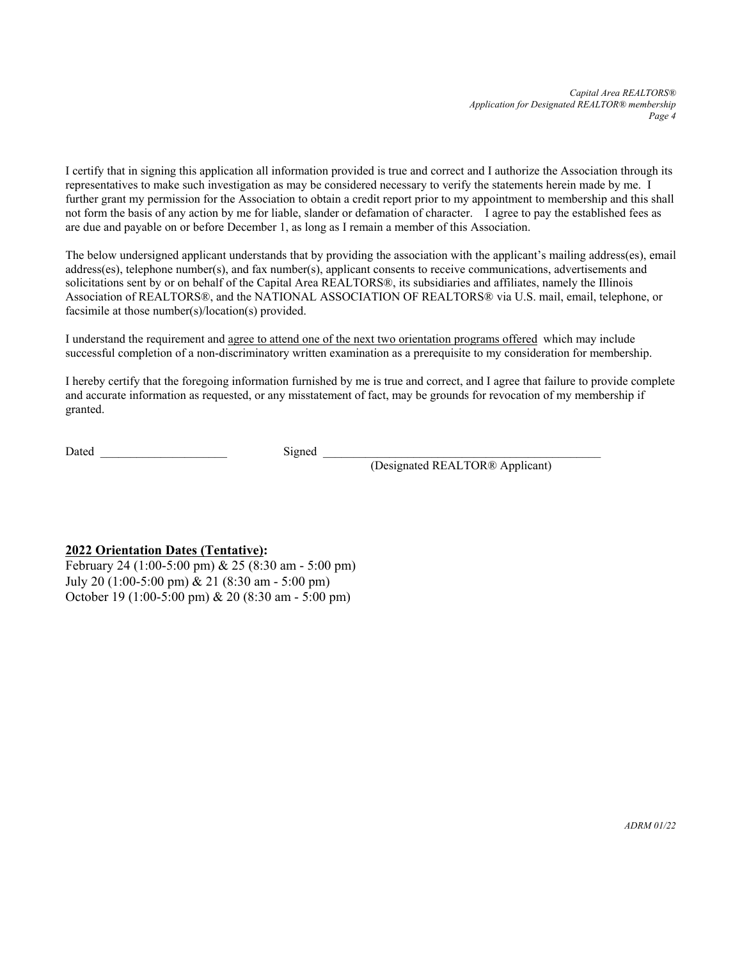*Capital Area REALTORS® Application for Designated REALTOR® membership Page 4*

I certify that in signing this application all information provided is true and correct and I authorize the Association through its representatives to make such investigation as may be considered necessary to verify the statements herein made by me. I further grant my permission for the Association to obtain a credit report prior to my appointment to membership and this shall not form the basis of any action by me for liable, slander or defamation of character. I agree to pay the established fees as are due and payable on or before December 1, as long as I remain a member of this Association.

The below undersigned applicant understands that by providing the association with the applicant's mailing address(es), email address(es), telephone number(s), and fax number(s), applicant consents to receive communications, advertisements and solicitations sent by or on behalf of the Capital Area REALTORS®, its subsidiaries and affiliates, namely the Illinois Association of REALTORS®, and the NATIONAL ASSOCIATION OF REALTORS® via U.S. mail, email, telephone, or facsimile at those number(s)/location(s) provided.

I understand the requirement and agree to attend one of the next two orientation programs offered which may include successful completion of a non-discriminatory written examination as a prerequisite to my consideration for membership.

I hereby certify that the foregoing information furnished by me is true and correct, and I agree that failure to provide complete and accurate information as requested, or any misstatement of fact, may be grounds for revocation of my membership if granted.

Dated \_\_\_\_\_\_\_\_\_\_\_\_\_\_\_\_\_\_\_\_\_ Signed \_\_\_\_\_\_\_\_\_\_\_\_\_\_\_\_\_\_\_\_\_\_\_\_\_\_\_\_\_\_\_\_\_\_\_\_\_\_\_\_\_\_\_\_\_\_

(Designated REALTOR® Applicant)

#### **2022 Orientation Dates (Tentative):**

February 24 (1:00-5:00 pm) & 25 (8:30 am - 5:00 pm) July 20 (1:00-5:00 pm) & 21 (8:30 am - 5:00 pm) October 19 (1:00-5:00 pm) & 20 (8:30 am - 5:00 pm)

*ADRM 01/22*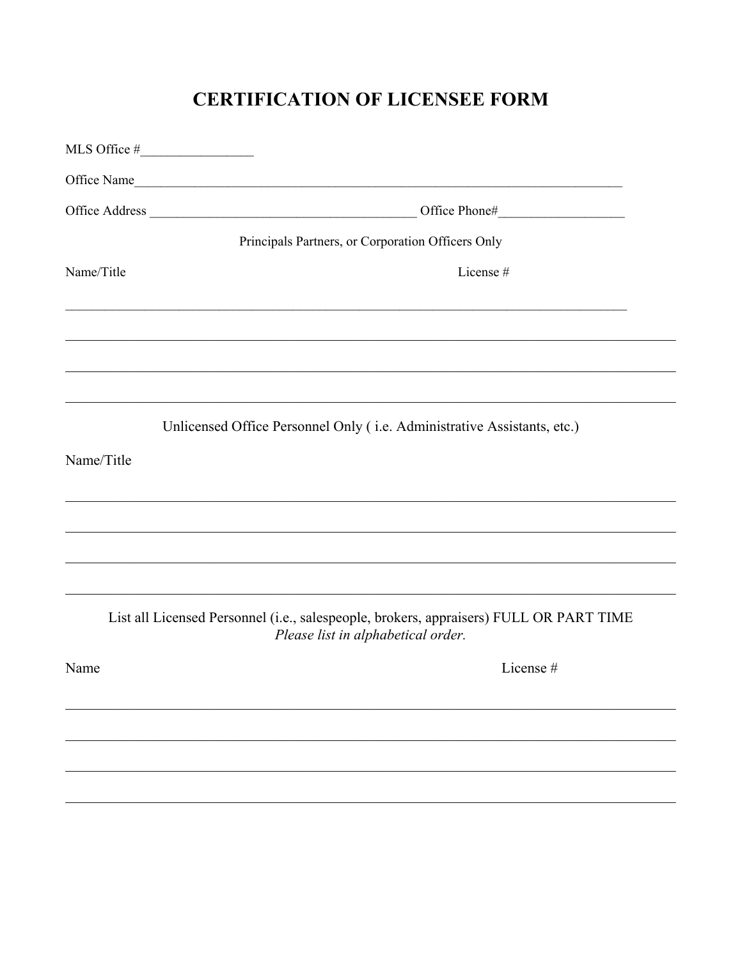# **CERTIFICATION OF LICENSEE FORM**

|            | Office Name                                                                                                                  |
|------------|------------------------------------------------------------------------------------------------------------------------------|
|            |                                                                                                                              |
|            | Principals Partners, or Corporation Officers Only                                                                            |
| Name/Title | License #                                                                                                                    |
|            |                                                                                                                              |
|            | <u> 1989 - Johann Harry Harry Harry Harry Harry Harry Harry Harry Harry Harry Harry Harry Harry Harry Harry Harry</u>        |
|            | Unlicensed Office Personnel Only (i.e. Administrative Assistants, etc.)                                                      |
| Name/Title |                                                                                                                              |
|            |                                                                                                                              |
|            |                                                                                                                              |
|            | List all Licensed Personnel (i.e., salespeople, brokers, appraisers) FULL OR PART TIME<br>Please list in alphabetical order. |
| Name       | License #                                                                                                                    |
|            |                                                                                                                              |
|            |                                                                                                                              |
|            |                                                                                                                              |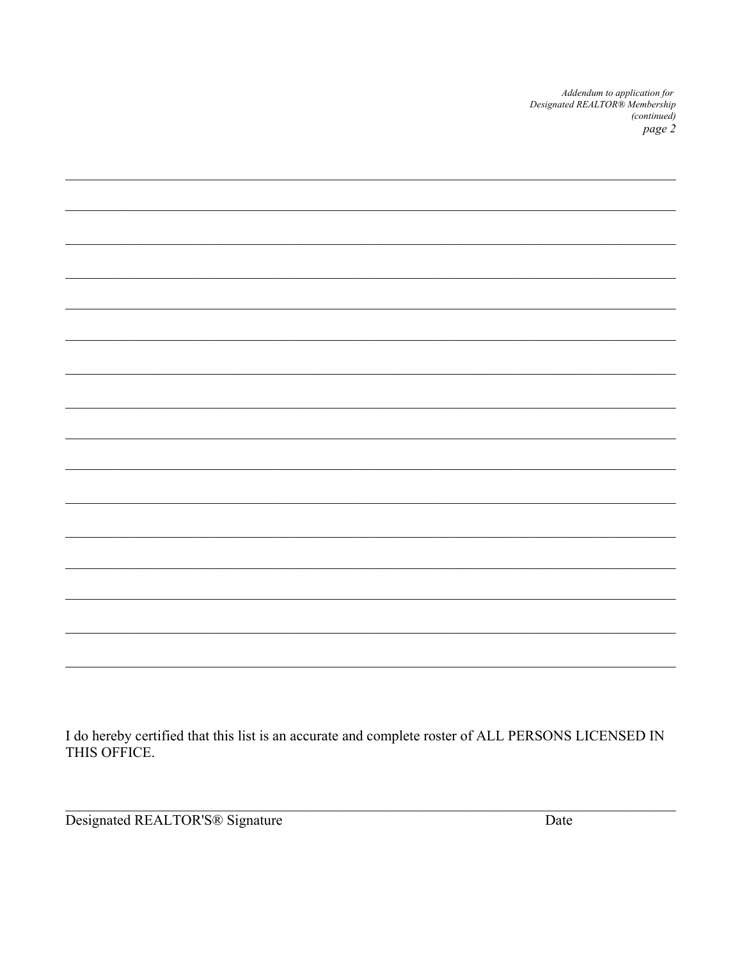Addendum to application for<br>Designated REALTOR® Membership<br>(continued) page 2

| I do hereby certified that this list is an accurate and complete roster of ALL PERSONS LICENSED IN<br>THIS OFFICE. |  |
|--------------------------------------------------------------------------------------------------------------------|--|

Designated REALTOR'S<sup>®</sup> Signature

Date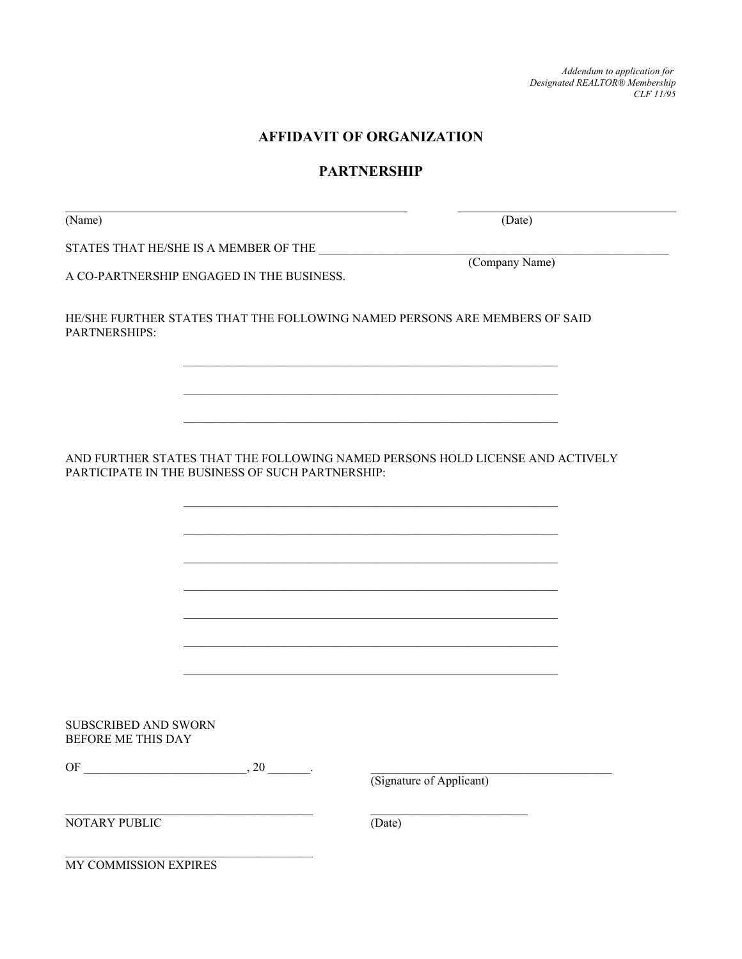*Addendum to application for Designated REALTOR® Membership CLF 11/95*

# **AFFIDAVIT OF ORGANIZATION**

### **PARTNERSHIP**

| (Name)                                                                                                                            | (Date)                   |
|-----------------------------------------------------------------------------------------------------------------------------------|--------------------------|
|                                                                                                                                   |                          |
| A CO-PARTNERSHIP ENGAGED IN THE BUSINESS.                                                                                         | (Company Name)           |
| HE/SHE FURTHER STATES THAT THE FOLLOWING NAMED PERSONS ARE MEMBERS OF SAID<br>PARTNERSHIPS:                                       |                          |
|                                                                                                                                   |                          |
| AND FURTHER STATES THAT THE FOLLOWING NAMED PERSONS HOLD LICENSE AND ACTIVELY<br>PARTICIPATE IN THE BUSINESS OF SUCH PARTNERSHIP: |                          |
|                                                                                                                                   |                          |
|                                                                                                                                   |                          |
|                                                                                                                                   |                          |
|                                                                                                                                   |                          |
|                                                                                                                                   |                          |
| SUBSCRIBED AND SWORN<br>BEFORE ME THIS DAY                                                                                        |                          |
|                                                                                                                                   | (Signature of Applicant) |
| NOTARY PUBLIC                                                                                                                     | $\overline{(Date)}$      |
| MY COMMISSION EXPIRES                                                                                                             |                          |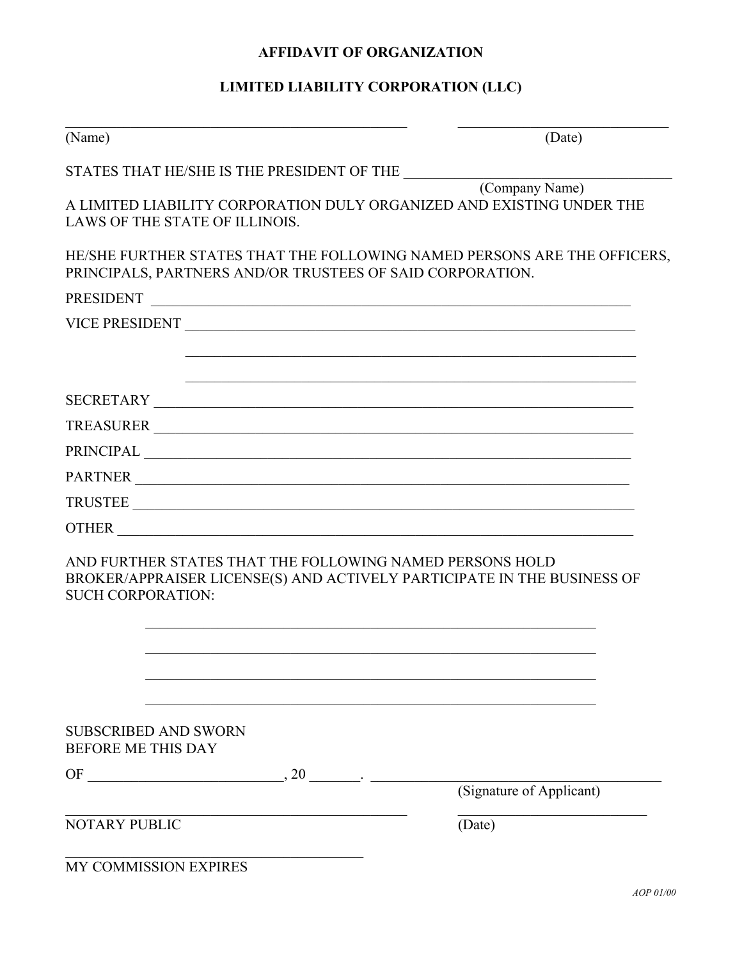# **AFFIDAVIT OF ORGANIZATION**

# **LIMITED LIABILITY CORPORATION (LLC)**

| (Name)                                                                               | (Date)                                                                                                                |
|--------------------------------------------------------------------------------------|-----------------------------------------------------------------------------------------------------------------------|
|                                                                                      |                                                                                                                       |
| LAWS OF THE STATE OF ILLINOIS.                                                       | A LIMITED LIABILITY CORPORATION DULY ORGANIZED AND EXISTING UNDER THE                                                 |
| PRINCIPALS, PARTNERS AND/OR TRUSTEES OF SAID CORPORATION.                            | HE/SHE FURTHER STATES THAT THE FOLLOWING NAMED PERSONS ARE THE OFFICERS,                                              |
| PRESIDENT                                                                            | <u> 1989 - Johann Harry Harry Harry Harry Harry Harry Harry Harry Harry Harry Harry Harry Harry Harry Harry Harry</u> |
|                                                                                      |                                                                                                                       |
|                                                                                      |                                                                                                                       |
|                                                                                      |                                                                                                                       |
|                                                                                      |                                                                                                                       |
|                                                                                      |                                                                                                                       |
|                                                                                      |                                                                                                                       |
|                                                                                      | PARTNER                                                                                                               |
| TRUSTEE                                                                              |                                                                                                                       |
|                                                                                      |                                                                                                                       |
| AND FURTHER STATES THAT THE FOLLOWING NAMED PERSONS HOLD<br><b>SUCH CORPORATION:</b> | BROKER/APPRAISER LICENSE(S) AND ACTIVELY PARTICIPATE IN THE BUSINESS OF                                               |
|                                                                                      |                                                                                                                       |
|                                                                                      |                                                                                                                       |
| <b>SUBSCRIBED AND SWORN</b><br><b>BEFORE ME THIS DAY</b>                             |                                                                                                                       |
|                                                                                      |                                                                                                                       |
|                                                                                      | (Signature of Applicant)                                                                                              |
| <b>NOTARY PUBLIC</b>                                                                 | (Date)                                                                                                                |
| MY COMMISSION EXPIRES                                                                |                                                                                                                       |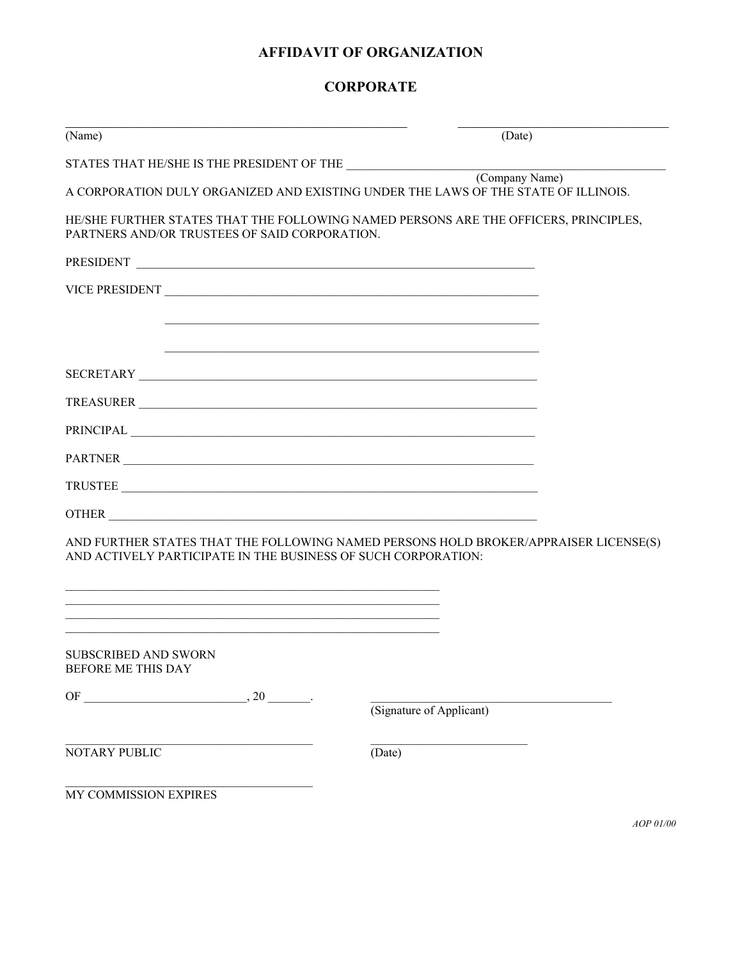# **AFFIDAVIT OF ORGANIZATION**

## **CORPORATE**

| (Name)                                                                                                                                                                                                                         | (Date)                                                                                                                                   |
|--------------------------------------------------------------------------------------------------------------------------------------------------------------------------------------------------------------------------------|------------------------------------------------------------------------------------------------------------------------------------------|
| STATES THAT HE/SHE IS THE PRESIDENT OF THE                                                                                                                                                                                     |                                                                                                                                          |
|                                                                                                                                                                                                                                | $\frac{(\text{Compary Name})}{\sum_{n=1}^{\infty}$<br>A CORPORATION DULY ORGANIZED AND EXISTING UNDER THE LAWS OF THE STATE OF ILLINOIS. |
| PARTNERS AND/OR TRUSTEES OF SAID CORPORATION.                                                                                                                                                                                  | HE/SHE FURTHER STATES THAT THE FOLLOWING NAMED PERSONS ARE THE OFFICERS, PRINCIPLES,                                                     |
| PRESIDENT                                                                                                                                                                                                                      |                                                                                                                                          |
| VICE PRESIDENT                                                                                                                                                                                                                 |                                                                                                                                          |
|                                                                                                                                                                                                                                |                                                                                                                                          |
|                                                                                                                                                                                                                                |                                                                                                                                          |
|                                                                                                                                                                                                                                |                                                                                                                                          |
|                                                                                                                                                                                                                                |                                                                                                                                          |
|                                                                                                                                                                                                                                |                                                                                                                                          |
| PARTNER                                                                                                                                                                                                                        |                                                                                                                                          |
|                                                                                                                                                                                                                                |                                                                                                                                          |
| OTHER COMMUNICATION CONTRACT OF THE CONTRACT OF THE CONTRACT OF THE CONTRACT OF THE CONTRACT OF THE CONTRACT OF THE CONTRACT OF THE CONTRACT OF THE CONTRACT OF THE CONTRACT OF THE CONTRACT OF THE CONTRACT OF THE CONTRACT O |                                                                                                                                          |
| AND ACTIVELY PARTICIPATE IN THE BUSINESS OF SUCH CORPORATION:                                                                                                                                                                  | AND FURTHER STATES THAT THE FOLLOWING NAMED PERSONS HOLD BROKER/APPRAISER LICENSE(S)                                                     |
| <u> 1989 - Johann Stoff, deutscher Stoff, der Stoff, der Stoff, der Stoff, der Stoff, der Stoff, der Stoff, der S</u>                                                                                                          |                                                                                                                                          |
| <b>SUBSCRIBED AND SWORN</b><br>BEFORE ME THIS DAY                                                                                                                                                                              |                                                                                                                                          |
|                                                                                                                                                                                                                                | (Signature of Applicant)                                                                                                                 |
| NOTARY PUBLIC                                                                                                                                                                                                                  | (Date)                                                                                                                                   |
| MY COMMISSION EXPIRES                                                                                                                                                                                                          |                                                                                                                                          |

*AOP 01/00*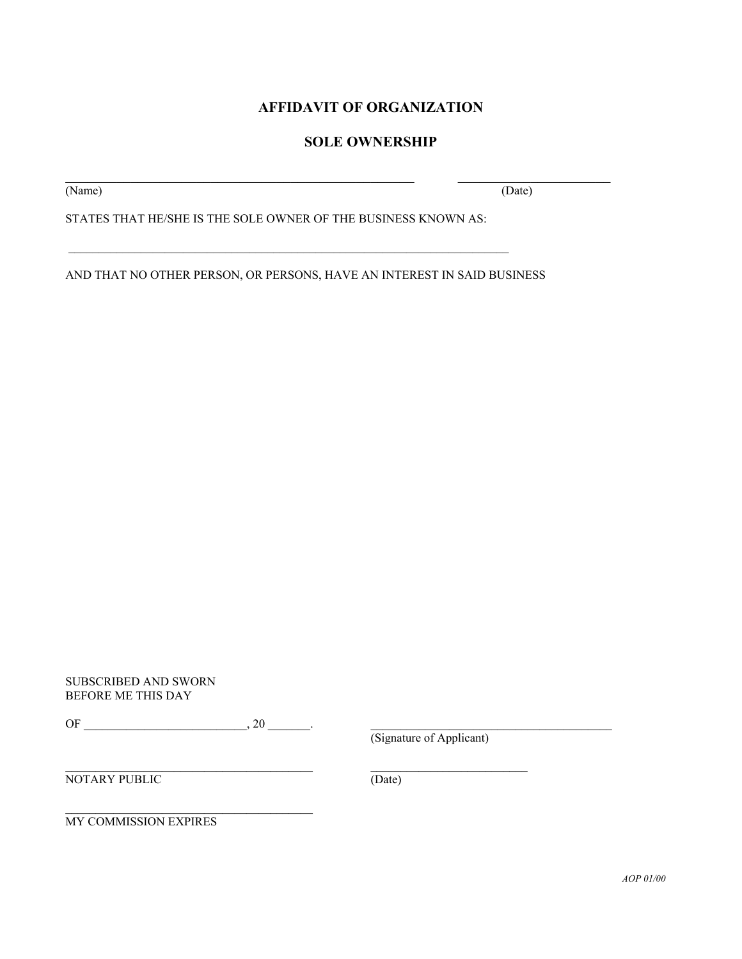### **AFFIDAVIT OF ORGANIZATION**

### **SOLE OWNERSHIP**

 $\mathcal{L}_\text{max} = \mathcal{L}_\text{max} = \mathcal{L}_\text{max} = \mathcal{L}_\text{max} = \mathcal{L}_\text{max} = \mathcal{L}_\text{max} = \mathcal{L}_\text{max} = \mathcal{L}_\text{max} = \mathcal{L}_\text{max} = \mathcal{L}_\text{max} = \mathcal{L}_\text{max} = \mathcal{L}_\text{max} = \mathcal{L}_\text{max} = \mathcal{L}_\text{max} = \mathcal{L}_\text{max} = \mathcal{L}_\text{max} = \mathcal{L}_\text{max} = \mathcal{L}_\text{max} = \mathcal{$ 

(Name) (Date)

STATES THAT HE/SHE IS THE SOLE OWNER OF THE BUSINESS KNOWN AS:

 $\mathcal{L}_\text{max}$  and  $\mathcal{L}_\text{max}$  and  $\mathcal{L}_\text{max}$  and  $\mathcal{L}_\text{max}$  and  $\mathcal{L}_\text{max}$  and  $\mathcal{L}_\text{max}$  and  $\mathcal{L}_\text{max}$ 

AND THAT NO OTHER PERSON, OR PERSONS, HAVE AN INTEREST IN SAID BUSINESS

SUBSCRIBED AND SWORN BEFORE ME THIS DAY

OF \_\_\_\_\_\_\_\_\_\_\_\_\_\_\_\_\_\_\_\_\_\_\_\_\_\_\_, 20 \_\_\_\_\_\_\_. \_\_\_\_\_\_\_\_\_\_\_\_\_\_\_\_\_\_\_\_\_\_\_\_\_\_\_\_\_\_\_\_\_\_\_\_\_\_\_\_

(Signature of Applicant)

NOTARY PUBLIC (Date)

MY COMMISSION EXPIRES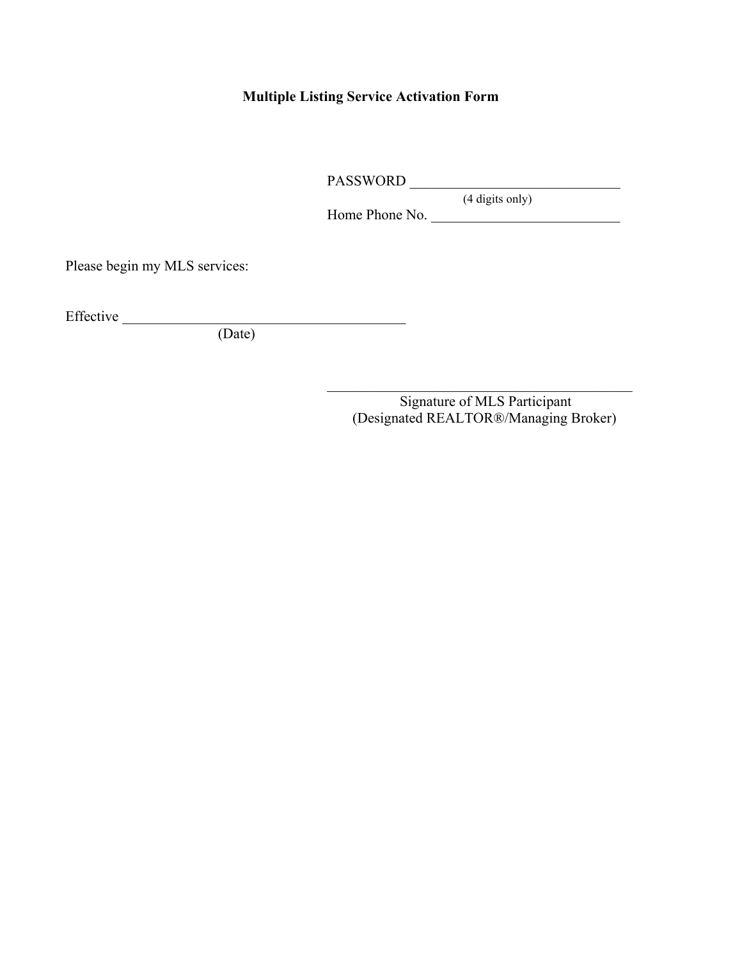# **Multiple Listing Service Activation Form**

PASSWORD **Example 20** 

(4 digits only)

Home Phone No.  $\frac{1}{\sqrt{2}}$ 

Please begin my MLS services:

Effective  $\frac{1}{\sqrt{2\pi}}$ 

(Date)

 Signature of MLS Participant (Designated REALTOR®/Managing Broker)

 $\mathcal{L}_\text{max}$  and  $\mathcal{L}_\text{max}$  and  $\mathcal{L}_\text{max}$  and  $\mathcal{L}_\text{max}$  and  $\mathcal{L}_\text{max}$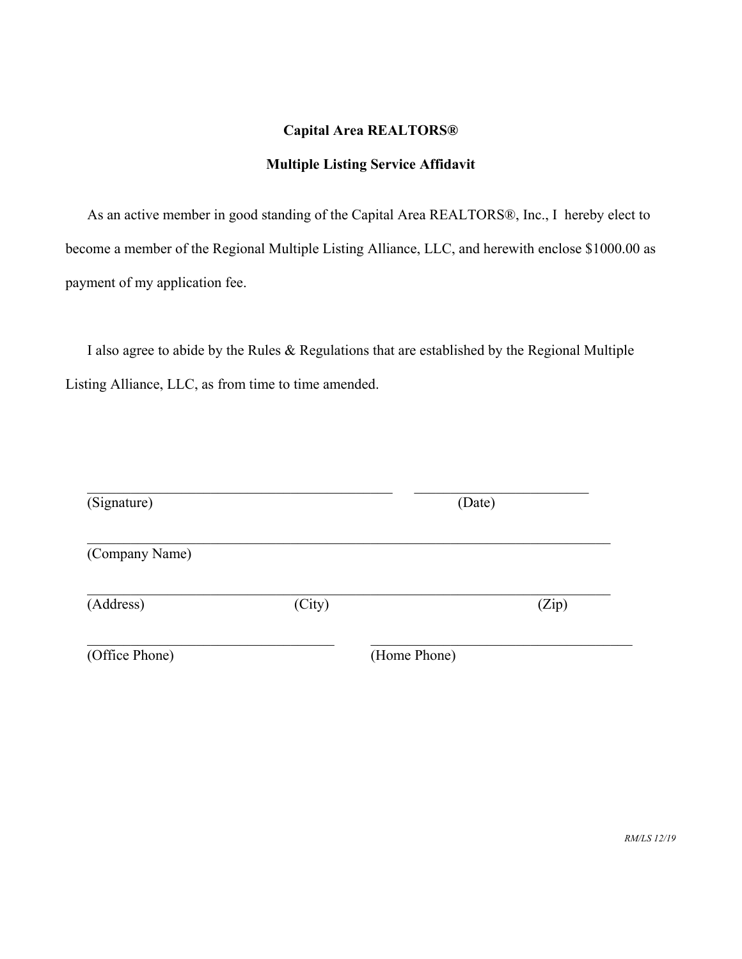# **Capital Area REALTORS®**

# **Multiple Listing Service Affidavit**

As an active member in good standing of the Capital Area REALTORS®, Inc., I hereby elect to become a member of the Regional Multiple Listing Alliance, LLC, and herewith enclose \$1000.00 as payment of my application fee.

I also agree to abide by the Rules & Regulations that are established by the Regional Multiple Listing Alliance, LLC, as from time to time amended.

| (Signature)    |        | (Date)       |       |
|----------------|--------|--------------|-------|
| (Company Name) |        |              |       |
| (Address)      | (City) |              | (Zip) |
| (Office Phone) |        | (Home Phone) |       |